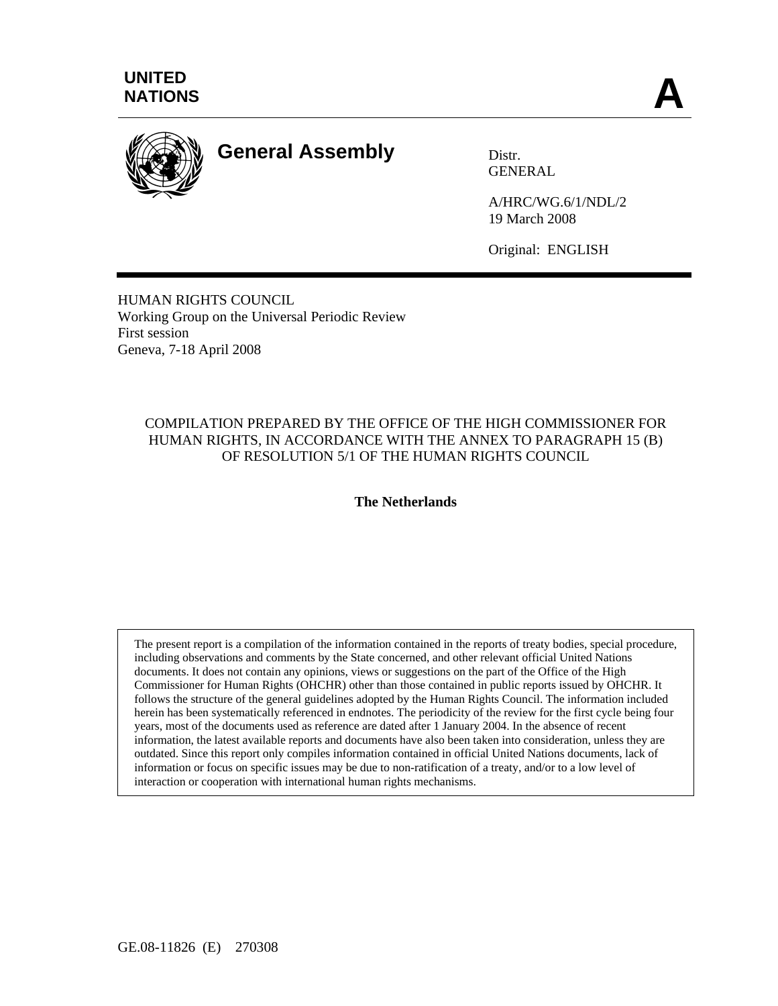

# **General Assembly** Distr.

GENERAL

A/HRC/WG.6/1/NDL/2 19 March 2008

Original: ENGLISH

HUMAN RIGHTS COUNCIL Working Group on the Universal Periodic Review First session Geneva, 7-18 April 2008

# COMPILATION PREPARED BY THE OFFICE OF THE HIGH COMMISSIONER FOR HUMAN RIGHTS, IN ACCORDANCE WITH THE ANNEX TO PARAGRAPH 15 (B) OF RESOLUTION 5/1 OF THE HUMAN RIGHTS COUNCIL

# **The Netherlands**

The present report is a compilation of the information contained in the reports of treaty bodies, special procedure, including observations and comments by the State concerned, and other relevant official United Nations documents. It does not contain any opinions, views or suggestions on the part of the Office of the High Commissioner for Human Rights (OHCHR) other than those contained in public reports issued by OHCHR. It follows the structure of the general guidelines adopted by the Human Rights Council. The information included herein has been systematically referenced in endnotes. The periodicity of the review for the first cycle being four years, most of the documents used as reference are dated after 1 January 2004. In the absence of recent information, the latest available reports and documents have also been taken into consideration, unless they are outdated. Since this report only compiles information contained in official United Nations documents, lack of information or focus on specific issues may be due to non-ratification of a treaty, and/or to a low level of interaction or cooperation with international human rights mechanisms.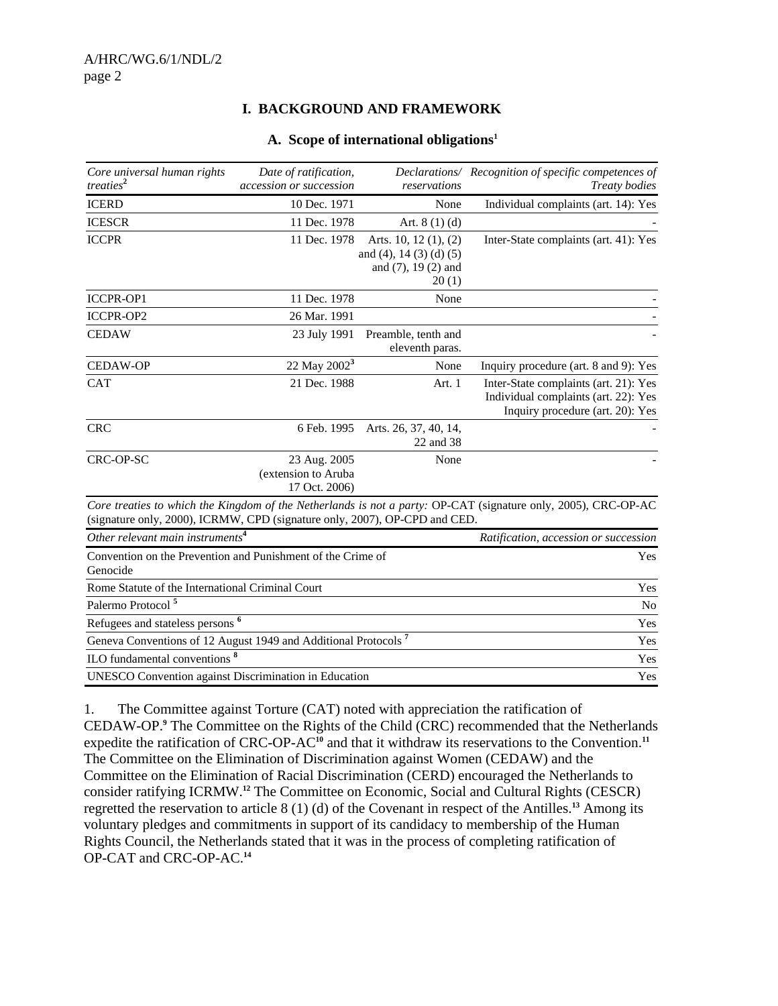#### **I. BACKGROUND AND FRAMEWORK**

#### **A. Scope of international obligations1**

| Core universal human rights<br>treaties <sup>2</sup>                       | Date of ratification,<br>accession or succession     | reservations                                                                          | Declarations/ Recognition of specific competences of<br><b>Treaty</b> bodies                                      |
|----------------------------------------------------------------------------|------------------------------------------------------|---------------------------------------------------------------------------------------|-------------------------------------------------------------------------------------------------------------------|
| <b>ICERD</b>                                                               | 10 Dec. 1971                                         | None                                                                                  | Individual complaints (art. 14): Yes                                                                              |
| <b>ICESCR</b>                                                              | 11 Dec. 1978                                         | Art. $8(1)(d)$                                                                        |                                                                                                                   |
| <b>ICCPR</b>                                                               | 11 Dec. 1978                                         | Arts. 10, 12 $(1)$ , $(2)$<br>and (4), 14 (3) (d) (5)<br>and (7), 19 (2) and<br>20(1) | Inter-State complaints (art. 41): Yes                                                                             |
| <b>ICCPR-OP1</b>                                                           | 11 Dec. 1978                                         | None                                                                                  |                                                                                                                   |
| <b>ICCPR-OP2</b>                                                           | 26 Mar. 1991                                         |                                                                                       |                                                                                                                   |
| <b>CEDAW</b>                                                               | 23 July 1991                                         | Preamble, tenth and<br>eleventh paras.                                                |                                                                                                                   |
| <b>CEDAW-OP</b>                                                            | 22 May 2002 <sup>3</sup>                             | None                                                                                  | Inquiry procedure (art. 8 and 9): Yes                                                                             |
| <b>CAT</b>                                                                 | 21 Dec. 1988                                         | Art. 1                                                                                | Inter-State complaints (art. 21): Yes<br>Individual complaints (art. 22): Yes<br>Inquiry procedure (art. 20): Yes |
| <b>CRC</b>                                                                 | 6 Feb. 1995                                          | Arts. 26, 37, 40, 14,<br>22 and 38                                                    |                                                                                                                   |
| CRC-OP-SC                                                                  | 23 Aug. 2005<br>(extension to Aruba<br>17 Oct. 2006) | None                                                                                  |                                                                                                                   |
| (signature only, 2000), ICRMW, CPD (signature only, 2007), OP-CPD and CED. |                                                      |                                                                                       | Core treaties to which the Kingdom of the Netherlands is not a party: OP-CAT (signature only, 2005), CRC-OP-AC    |
| Other relevant main instruments <sup>4</sup>                               |                                                      |                                                                                       | Ratification, accession or succession                                                                             |
| Convention on the Prevention and Punishment of the Crime of<br>Genocide    |                                                      |                                                                                       | Yes                                                                                                               |
| Rome Statute of the International Criminal Court                           |                                                      |                                                                                       | Yes                                                                                                               |
| Palermo Protocol <sup>5</sup>                                              |                                                      |                                                                                       | N <sub>o</sub>                                                                                                    |
| Refugees and stateless persons <sup>6</sup>                                |                                                      |                                                                                       | Yes                                                                                                               |
| Geneva Conventions of 12 August 1949 and Additional Protocols <sup>7</sup> |                                                      |                                                                                       | Yes                                                                                                               |
| ILO fundamental conventions <sup>8</sup>                                   |                                                      |                                                                                       | Yes                                                                                                               |
| <b>UNESCO</b> Convention against Discrimination in Education               |                                                      |                                                                                       | Yes                                                                                                               |

1. The Committee against Torture (CAT) noted with appreciation the ratification of CEDAW-OP.**<sup>9</sup>** The Committee on the Rights of the Child (CRC) recommended that the Netherlands expedite the ratification of CRC-OP-AC**<sup>10</sup>** and that it withdraw its reservations to the Convention.**<sup>11</sup>** The Committee on the Elimination of Discrimination against Women (CEDAW) and the Committee on the Elimination of Racial Discrimination (CERD) encouraged the Netherlands to consider ratifying ICRMW.**<sup>12</sup>** The Committee on Economic, Social and Cultural Rights (CESCR) regretted the reservation to article 8 (1) (d) of the Covenant in respect of the Antilles.**<sup>13</sup>** Among its voluntary pledges and commitments in support of its candidacy to membership of the Human Rights Council, the Netherlands stated that it was in the process of completing ratification of OP-CAT and CRC-OP-AC.**14**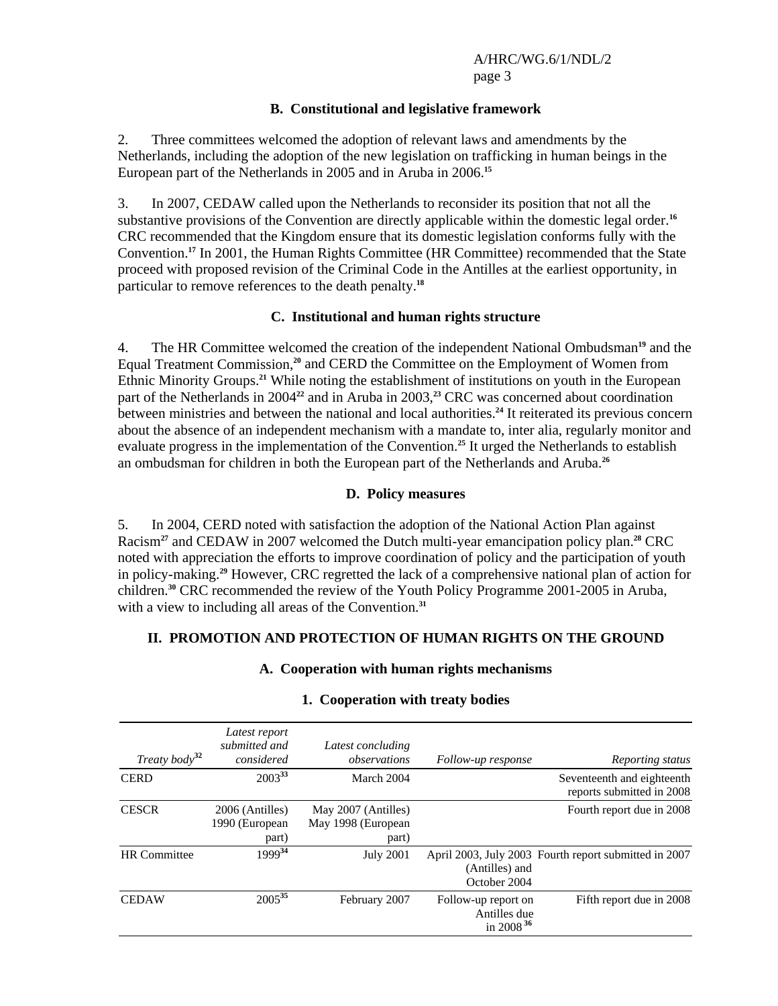#### **B. Constitutional and legislative framework**

2. Three committees welcomed the adoption of relevant laws and amendments by the Netherlands, including the adoption of the new legislation on trafficking in human beings in the European part of the Netherlands in 2005 and in Aruba in 2006.**<sup>15</sup>**

3. In 2007, CEDAW called upon the Netherlands to reconsider its position that not all the substantive provisions of the Convention are directly applicable within the domestic legal order.**<sup>16</sup>** CRC recommended that the Kingdom ensure that its domestic legislation conforms fully with the Convention.**<sup>17</sup>** In 2001, the Human Rights Committee (HR Committee) recommended that the State proceed with proposed revision of the Criminal Code in the Antilles at the earliest opportunity, in particular to remove references to the death penalty.**<sup>18</sup>**

#### **C. Institutional and human rights structure**

4. The HR Committee welcomed the creation of the independent National Ombudsman**<sup>19</sup>** and the Equal Treatment Commission,**<sup>20</sup>** and CERD the Committee on the Employment of Women from Ethnic Minority Groups.**<sup>21</sup>** While noting the establishment of institutions on youth in the European part of the Netherlands in 2004<sup>22</sup> and in Aruba in 2003,<sup>23</sup> CRC was concerned about coordination between ministries and between the national and local authorities.**<sup>24</sup>** It reiterated its previous concern about the absence of an independent mechanism with a mandate to, inter alia, regularly monitor and evaluate progress in the implementation of the Convention.**<sup>25</sup>** It urged the Netherlands to establish an ombudsman for children in both the European part of the Netherlands and Aruba.**<sup>26</sup>**

#### **D. Policy measures**

5. In 2004, CERD noted with satisfaction the adoption of the National Action Plan against Racism**<sup>27</sup>** and CEDAW in 2007 welcomed the Dutch multi-year emancipation policy plan.**<sup>28</sup>** CRC noted with appreciation the efforts to improve coordination of policy and the participation of youth in policy-making.**<sup>29</sup>** However, CRC regretted the lack of a comprehensive national plan of action for children.**<sup>30</sup>** CRC recommended the review of the Youth Policy Programme 2001-2005 in Aruba, with a view to including all areas of the Convention.<sup>31</sup>

#### **II. PROMOTION AND PROTECTION OF HUMAN RIGHTS ON THE GROUND**

#### **A. Cooperation with human rights mechanisms**

| Treaty body <sup>32</sup> | Latest report<br>submitted and<br>considered | Latest concluding<br>observations                  | Follow-up response                                  | Reporting status                                        |
|---------------------------|----------------------------------------------|----------------------------------------------------|-----------------------------------------------------|---------------------------------------------------------|
| <b>CERD</b>               | $2003^{33}$                                  | March 2004                                         |                                                     | Seventeenth and eighteenth<br>reports submitted in 2008 |
| <b>CESCR</b>              | 2006 (Antilles)<br>1990 (European<br>part)   | May 2007 (Antilles)<br>May 1998 (European<br>part) |                                                     | Fourth report due in 2008                               |
| <b>HR</b> Committee       | 199934                                       | <b>July 2001</b>                                   | (Antilles) and<br>October 2004                      | April 2003, July 2003 Fourth report submitted in 2007   |
| <b>CEDAW</b>              | $2005^{35}$                                  | February 2007                                      | Follow-up report on<br>Antilles due<br>in 2008 $36$ | Fifth report due in 2008                                |

#### **1. Cooperation with treaty bodies**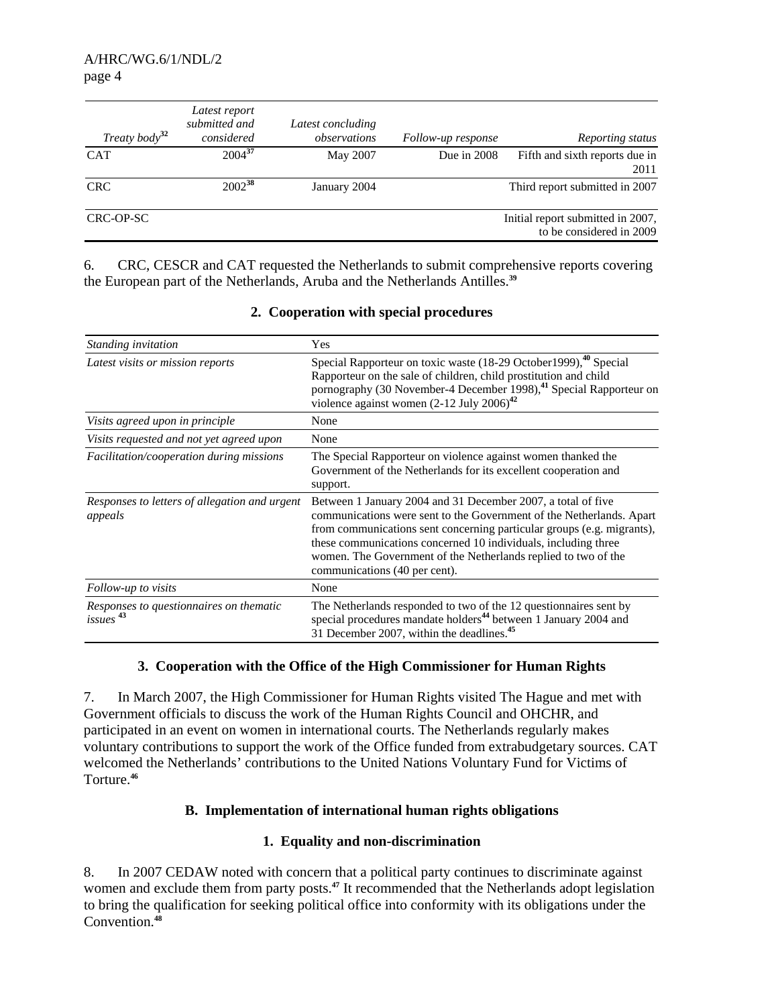| Treaty body <sup>32</sup> | Latest report<br>submitted and<br>considered | Latest concluding<br>observations | Follow-up response | Reporting status                                              |
|---------------------------|----------------------------------------------|-----------------------------------|--------------------|---------------------------------------------------------------|
| <b>CAT</b>                | $2004^{37}$                                  | May 2007                          | Due in $2008$      | Fifth and sixth reports due in<br>2011                        |
| <b>CRC</b>                | $2002^{38}$                                  | January 2004                      |                    | Third report submitted in 2007                                |
| CRC-OP-SC                 |                                              |                                   |                    | Initial report submitted in 2007,<br>to be considered in 2009 |

6. CRC, CESCR and CAT requested the Netherlands to submit comprehensive reports covering the European part of the Netherlands, Aruba and the Netherlands Antilles.**<sup>39</sup>**

| Standing invitation                                             | Yes                                                                                                                                                                                                                                                                                                                                                                                 |
|-----------------------------------------------------------------|-------------------------------------------------------------------------------------------------------------------------------------------------------------------------------------------------------------------------------------------------------------------------------------------------------------------------------------------------------------------------------------|
| Latest visits or mission reports                                | Special Rapporteur on toxic waste (18-29 October 1999), <sup>40</sup> Special<br>Rapporteur on the sale of children, child prostitution and child<br>pornography (30 November-4 December 1998), <sup>41</sup> Special Rapporteur on<br>violence against women $(2-12 \text{ July } 2006)^{42}$                                                                                      |
| Visits agreed upon in principle                                 | None                                                                                                                                                                                                                                                                                                                                                                                |
| Visits requested and not yet agreed upon                        | None                                                                                                                                                                                                                                                                                                                                                                                |
| Facilitation/cooperation during missions                        | The Special Rapporteur on violence against women thanked the<br>Government of the Netherlands for its excellent cooperation and<br>support.                                                                                                                                                                                                                                         |
| Responses to letters of allegation and urgent<br>appeals        | Between 1 January 2004 and 31 December 2007, a total of five<br>communications were sent to the Government of the Netherlands. Apart<br>from communications sent concerning particular groups (e.g. migrants),<br>these communications concerned 10 individuals, including three<br>women. The Government of the Netherlands replied to two of the<br>communications (40 per cent). |
| Follow-up to visits                                             | None                                                                                                                                                                                                                                                                                                                                                                                |
| Responses to questionnaires on thematic<br>issues <sup>43</sup> | The Netherlands responded to two of the 12 question aires sent by<br>special procedures mandate holders <sup>44</sup> between 1 January 2004 and<br>31 December 2007, within the deadlines. <sup>45</sup>                                                                                                                                                                           |

#### **2. Cooperation with special procedures**

#### **3. Cooperation with the Office of the High Commissioner for Human Rights**

7. In March 2007, the High Commissioner for Human Rights visited The Hague and met with Government officials to discuss the work of the Human Rights Council and OHCHR, and participated in an event on women in international courts. The Netherlands regularly makes voluntary contributions to support the work of the Office funded from extrabudgetary sources. CAT welcomed the Netherlands' contributions to the United Nations Voluntary Fund for Victims of Torture.**<sup>46</sup>**

# **B. Implementation of international human rights obligations**

# **1. Equality and non-discrimination**

8. In 2007 CEDAW noted with concern that a political party continues to discriminate against women and exclude them from party posts.**<sup>47</sup>** It recommended that the Netherlands adopt legislation to bring the qualification for seeking political office into conformity with its obligations under the Convention.**48**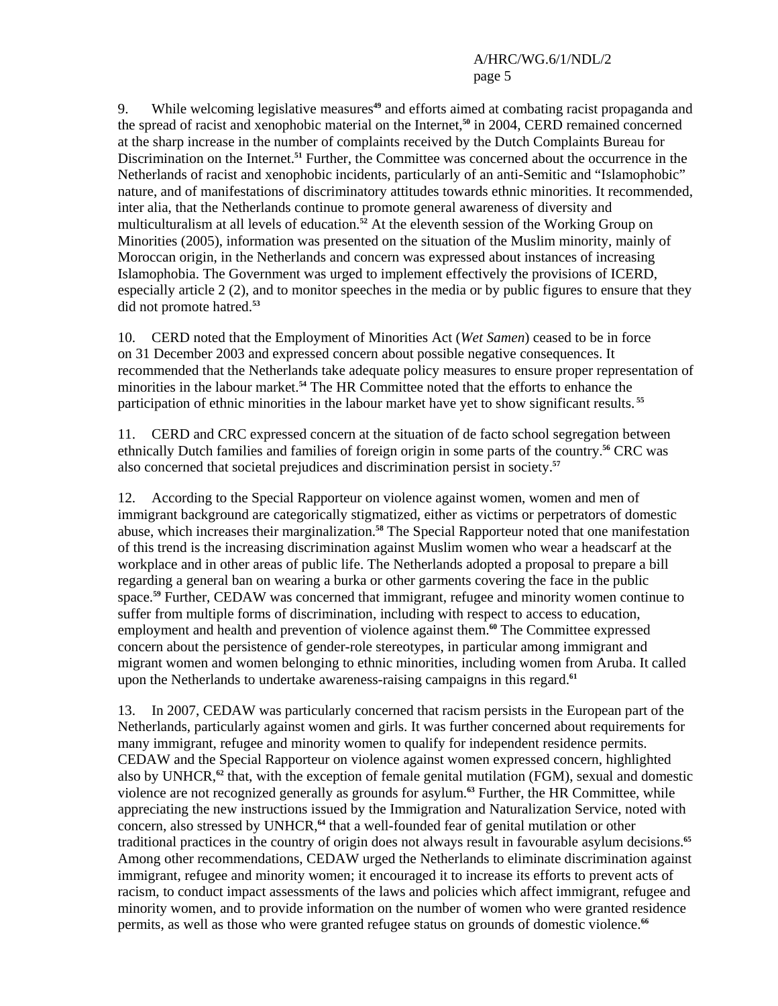9. While welcoming legislative measures**<sup>49</sup>** and efforts aimed at combating racist propaganda and the spread of racist and xenophobic material on the Internet,**<sup>50</sup>** in 2004, CERD remained concerned at the sharp increase in the number of complaints received by the Dutch Complaints Bureau for Discrimination on the Internet.**<sup>51</sup>** Further, the Committee was concerned about the occurrence in the Netherlands of racist and xenophobic incidents, particularly of an anti-Semitic and "Islamophobic" nature, and of manifestations of discriminatory attitudes towards ethnic minorities. It recommended, inter alia, that the Netherlands continue to promote general awareness of diversity and multiculturalism at all levels of education.**<sup>52</sup>** At the eleventh session of the Working Group on Minorities (2005), information was presented on the situation of the Muslim minority, mainly of Moroccan origin, in the Netherlands and concern was expressed about instances of increasing Islamophobia. The Government was urged to implement effectively the provisions of ICERD, especially article 2 (2), and to monitor speeches in the media or by public figures to ensure that they did not promote hatred.**<sup>53</sup>**

10. CERD noted that the Employment of Minorities Act (*Wet Samen*) ceased to be in force on 31 December 2003 and expressed concern about possible negative consequences. It recommended that the Netherlands take adequate policy measures to ensure proper representation of minorities in the labour market.**<sup>54</sup>** The HR Committee noted that the efforts to enhance the participation of ethnic minorities in the labour market have yet to show significant results.**<sup>55</sup>**

11. CERD and CRC expressed concern at the situation of de facto school segregation between ethnically Dutch families and families of foreign origin in some parts of the country. **<sup>56</sup>** CRC was also concerned that societal prejudices and discrimination persist in society.**<sup>57</sup>**

12. According to the Special Rapporteur on violence against women, women and men of immigrant background are categorically stigmatized, either as victims or perpetrators of domestic abuse, which increases their marginalization.**<sup>58</sup>** The Special Rapporteur noted that one manifestation of this trend is the increasing discrimination against Muslim women who wear a headscarf at the workplace and in other areas of public life. The Netherlands adopted a proposal to prepare a bill regarding a general ban on wearing a burka or other garments covering the face in the public space.**<sup>59</sup>** Further, CEDAW was concerned that immigrant, refugee and minority women continue to suffer from multiple forms of discrimination, including with respect to access to education, employment and health and prevention of violence against them.**<sup>60</sup>** The Committee expressed concern about the persistence of gender-role stereotypes, in particular among immigrant and migrant women and women belonging to ethnic minorities, including women from Aruba. It called upon the Netherlands to undertake awareness-raising campaigns in this regard.**<sup>61</sup>**

13. In 2007, CEDAW was particularly concerned that racism persists in the European part of the Netherlands, particularly against women and girls. It was further concerned about requirements for many immigrant, refugee and minority women to qualify for independent residence permits. CEDAW and the Special Rapporteur on violence against women expressed concern, highlighted also by UNHCR,**<sup>62</sup>** that, with the exception of female genital mutilation (FGM), sexual and domestic violence are not recognized generally as grounds for asylum.**<sup>63</sup>** Further, the HR Committee, while appreciating the new instructions issued by the Immigration and Naturalization Service, noted with concern, also stressed by UNHCR,**<sup>64</sup>** that a well-founded fear of genital mutilation or other traditional practices in the country of origin does not always result in favourable asylum decisions.**<sup>65</sup>** Among other recommendations, CEDAW urged the Netherlands to eliminate discrimination against immigrant, refugee and minority women; it encouraged it to increase its efforts to prevent acts of racism, to conduct impact assessments of the laws and policies which affect immigrant, refugee and minority women, and to provide information on the number of women who were granted residence permits, as well as those who were granted refugee status on grounds of domestic violence.**66**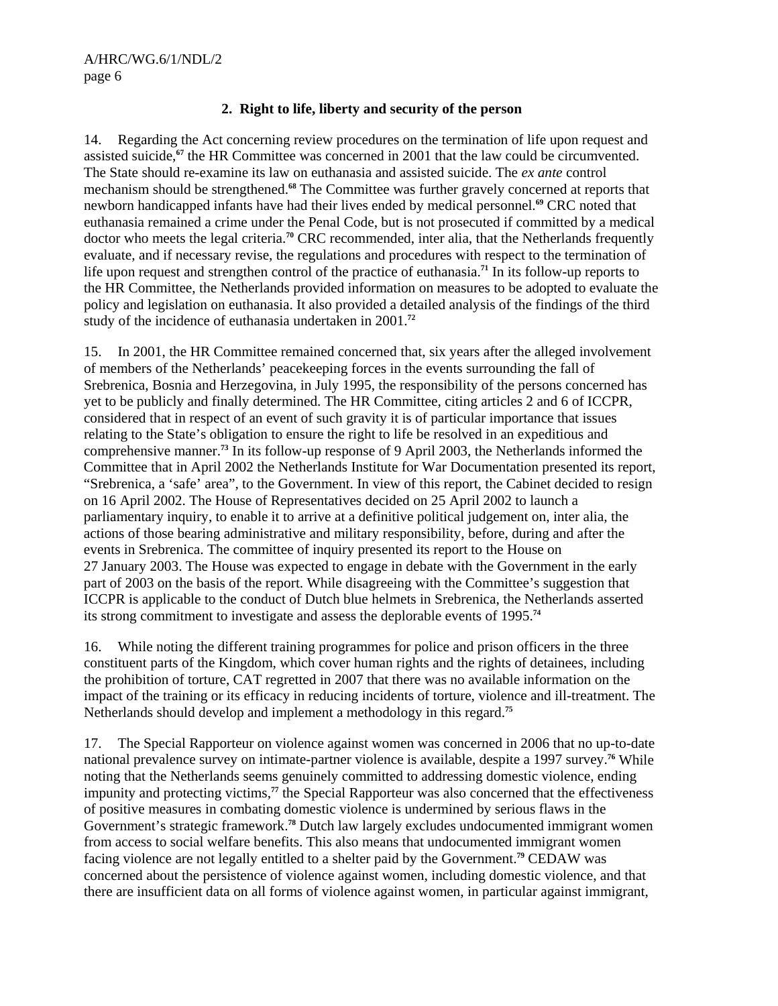#### **2. Right to life, liberty and security of the person**

14. Regarding the Act concerning review procedures on the termination of life upon request and assisted suicide,**<sup>67</sup>** the HR Committee was concerned in 2001 that the law could be circumvented. The State should re-examine its law on euthanasia and assisted suicide. The *ex ante* control mechanism should be strengthened.**<sup>68</sup>** The Committee was further gravely concerned at reports that newborn handicapped infants have had their lives ended by medical personnel.**<sup>69</sup>** CRC noted that euthanasia remained a crime under the Penal Code, but is not prosecuted if committed by a medical doctor who meets the legal criteria.**<sup>70</sup>** CRC recommended, inter alia, that the Netherlands frequently evaluate, and if necessary revise, the regulations and procedures with respect to the termination of life upon request and strengthen control of the practice of euthanasia.**<sup>71</sup>** In its follow-up reports to the HR Committee, the Netherlands provided information on measures to be adopted to evaluate the policy and legislation on euthanasia. It also provided a detailed analysis of the findings of the third study of the incidence of euthanasia undertaken in 2001.**<sup>72</sup>**

15. In 2001, the HR Committee remained concerned that, six years after the alleged involvement of members of the Netherlands' peacekeeping forces in the events surrounding the fall of Srebrenica, Bosnia and Herzegovina, in July 1995, the responsibility of the persons concerned has yet to be publicly and finally determined. The HR Committee, citing articles 2 and 6 of ICCPR, considered that in respect of an event of such gravity it is of particular importance that issues relating to the State's obligation to ensure the right to life be resolved in an expeditious and comprehensive manner.**<sup>73</sup>** In its follow-up response of 9 April 2003, the Netherlands informed the Committee that in April 2002 the Netherlands Institute for War Documentation presented its report, "Srebrenica, a 'safe' area", to the Government. In view of this report, the Cabinet decided to resign on 16 April 2002. The House of Representatives decided on 25 April 2002 to launch a parliamentary inquiry, to enable it to arrive at a definitive political judgement on, inter alia, the actions of those bearing administrative and military responsibility, before, during and after the events in Srebrenica. The committee of inquiry presented its report to the House on 27 January 2003. The House was expected to engage in debate with the Government in the early part of 2003 on the basis of the report. While disagreeing with the Committee's suggestion that ICCPR is applicable to the conduct of Dutch blue helmets in Srebrenica, the Netherlands asserted its strong commitment to investigate and assess the deplorable events of 1995.**<sup>74</sup>**

16. While noting the different training programmes for police and prison officers in the three constituent parts of the Kingdom, which cover human rights and the rights of detainees, including the prohibition of torture, CAT regretted in 2007 that there was no available information on the impact of the training or its efficacy in reducing incidents of torture, violence and ill-treatment. The Netherlands should develop and implement a methodology in this regard.**<sup>75</sup>**

17. The Special Rapporteur on violence against women was concerned in 2006 that no up-to-date national prevalence survey on intimate-partner violence is available, despite a 1997 survey.**<sup>76</sup>** While noting that the Netherlands seems genuinely committed to addressing domestic violence, ending impunity and protecting victims,**<sup>77</sup>** the Special Rapporteur was also concerned that the effectiveness of positive measures in combating domestic violence is undermined by serious flaws in the Government's strategic framework.**<sup>78</sup>** Dutch law largely excludes undocumented immigrant women from access to social welfare benefits. This also means that undocumented immigrant women facing violence are not legally entitled to a shelter paid by the Government.**<sup>79</sup>** CEDAW was concerned about the persistence of violence against women, including domestic violence, and that there are insufficient data on all forms of violence against women, in particular against immigrant,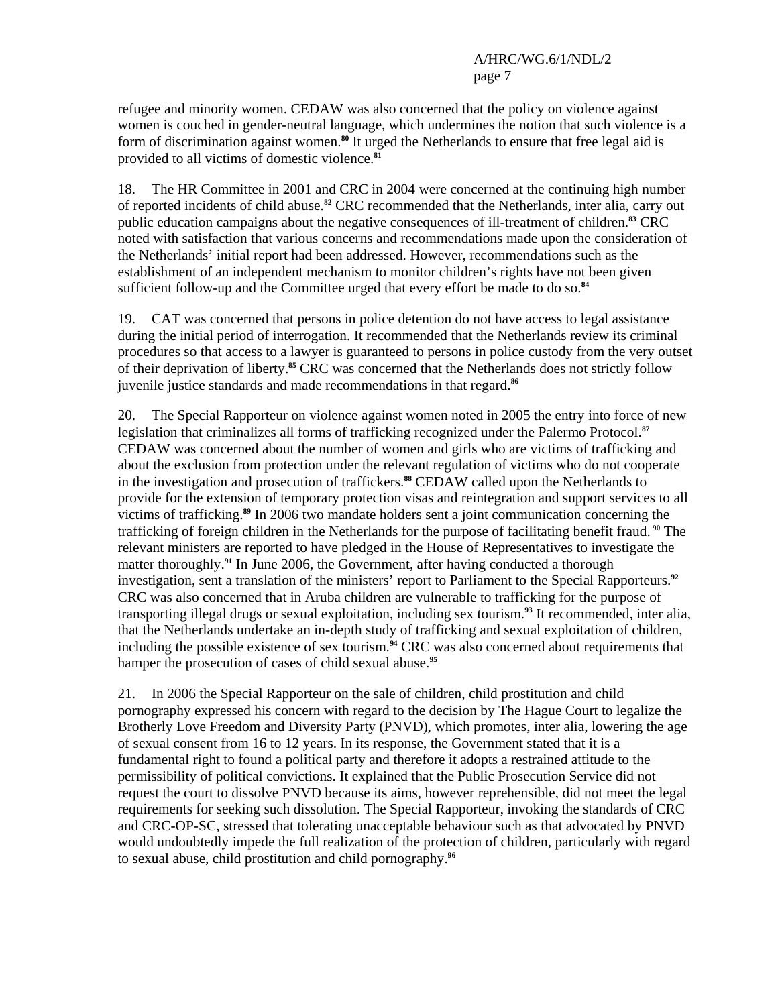refugee and minority women. CEDAW was also concerned that the policy on violence against women is couched in gender-neutral language, which undermines the notion that such violence is a form of discrimination against women.**<sup>80</sup>** It urged the Netherlands to ensure that free legal aid is provided to all victims of domestic violence.**<sup>81</sup>**

18. The HR Committee in 2001 and CRC in 2004 were concerned at the continuing high number of reported incidents of child abuse.**<sup>82</sup>** CRC recommended that the Netherlands, inter alia, carry out public education campaigns about the negative consequences of ill-treatment of children.**<sup>83</sup>** CRC noted with satisfaction that various concerns and recommendations made upon the consideration of the Netherlands' initial report had been addressed. However, recommendations such as the establishment of an independent mechanism to monitor children's rights have not been given sufficient follow-up and the Committee urged that every effort be made to do so.**<sup>84</sup>**

19. CAT was concerned that persons in police detention do not have access to legal assistance during the initial period of interrogation. It recommended that the Netherlands review its criminal procedures so that access to a lawyer is guaranteed to persons in police custody from the very outset of their deprivation of liberty.**<sup>85</sup>** CRC was concerned that the Netherlands does not strictly follow juvenile justice standards and made recommendations in that regard.**<sup>86</sup>**

20. The Special Rapporteur on violence against women noted in 2005 the entry into force of new legislation that criminalizes all forms of trafficking recognized under the Palermo Protocol.**<sup>87</sup>** CEDAW was concerned about the number of women and girls who are victims of trafficking and about the exclusion from protection under the relevant regulation of victims who do not cooperate in the investigation and prosecution of traffickers.**<sup>88</sup>** CEDAW called upon the Netherlands to provide for the extension of temporary protection visas and reintegration and support services to all victims of trafficking.**<sup>89</sup>** In 2006 two mandate holders sent a joint communication concerning the trafficking of foreign children in the Netherlands for the purpose of facilitating benefit fraud.**<sup>90</sup>** The relevant ministers are reported to have pledged in the House of Representatives to investigate the matter thoroughly.**<sup>91</sup>** In June 2006, the Government, after having conducted a thorough investigation, sent a translation of the ministers' report to Parliament to the Special Rapporteurs.**<sup>92</sup>** CRC was also concerned that in Aruba children are vulnerable to trafficking for the purpose of transporting illegal drugs or sexual exploitation, including sex tourism.**<sup>93</sup>** It recommended, inter alia, that the Netherlands undertake an in-depth study of trafficking and sexual exploitation of children, including the possible existence of sex tourism.**<sup>94</sup>** CRC was also concerned about requirements that hamper the prosecution of cases of child sexual abuse.**<sup>95</sup>**

21. In 2006 the Special Rapporteur on the sale of children, child prostitution and child pornography expressed his concern with regard to the decision by The Hague Court to legalize the Brotherly Love Freedom and Diversity Party (PNVD), which promotes, inter alia, lowering the age of sexual consent from 16 to 12 years. In its response, the Government stated that it is a fundamental right to found a political party and therefore it adopts a restrained attitude to the permissibility of political convictions. It explained that the Public Prosecution Service did not request the court to dissolve PNVD because its aims, however reprehensible, did not meet the legal requirements for seeking such dissolution. The Special Rapporteur, invoking the standards of CRC and CRC-OP-SC, stressed that tolerating unacceptable behaviour such as that advocated by PNVD would undoubtedly impede the full realization of the protection of children, particularly with regard to sexual abuse, child prostitution and child pornography.**96**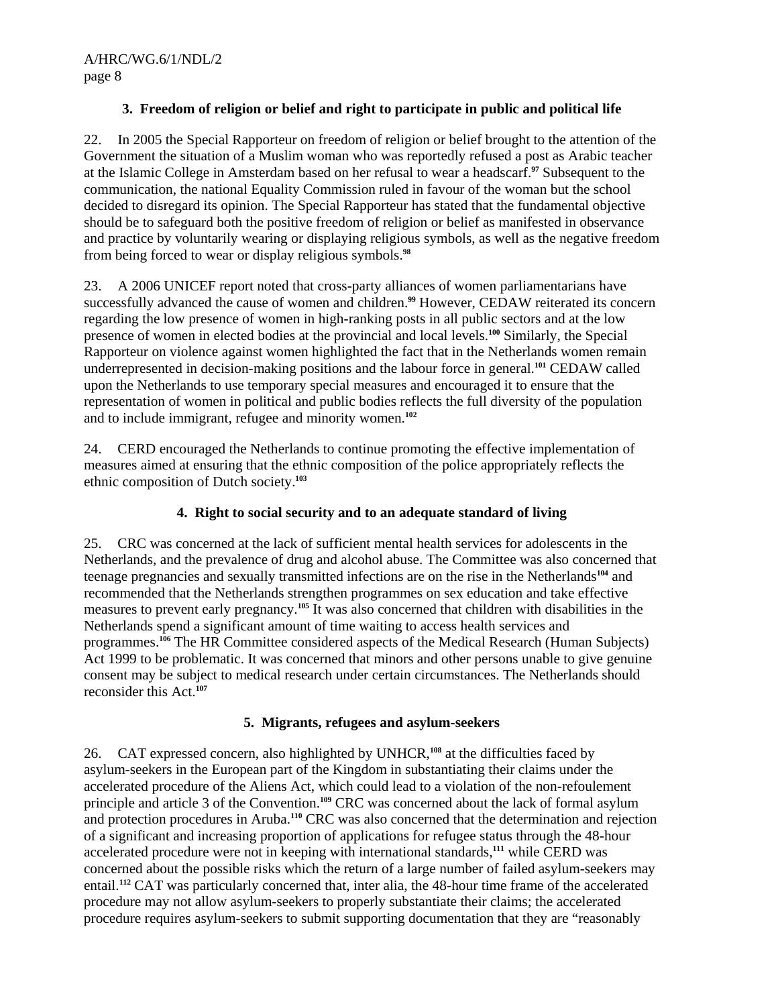# **3. Freedom of religion or belief and right to participate in public and political life**

22. In 2005 the Special Rapporteur on freedom of religion or belief brought to the attention of the Government the situation of a Muslim woman who was reportedly refused a post as Arabic teacher at the Islamic College in Amsterdam based on her refusal to wear a headscarf.**<sup>97</sup>** Subsequent to the communication, the national Equality Commission ruled in favour of the woman but the school decided to disregard its opinion. The Special Rapporteur has stated that the fundamental objective should be to safeguard both the positive freedom of religion or belief as manifested in observance and practice by voluntarily wearing or displaying religious symbols, as well as the negative freedom from being forced to wear or display religious symbols.**<sup>98</sup>**

23. A 2006 UNICEF report noted that cross-party alliances of women parliamentarians have successfully advanced the cause of women and children.**<sup>99</sup>** However, CEDAW reiterated its concern regarding the low presence of women in high-ranking posts in all public sectors and at the low presence of women in elected bodies at the provincial and local levels.**<sup>100</sup>** Similarly, the Special Rapporteur on violence against women highlighted the fact that in the Netherlands women remain underrepresented in decision-making positions and the labour force in general.**<sup>101</sup>** CEDAW called upon the Netherlands to use temporary special measures and encouraged it to ensure that the representation of women in political and public bodies reflects the full diversity of the population and to include immigrant, refugee and minority women.**<sup>102</sup>**

24. CERD encouraged the Netherlands to continue promoting the effective implementation of measures aimed at ensuring that the ethnic composition of the police appropriately reflects the ethnic composition of Dutch society.**<sup>103</sup>**

# **4. Right to social security and to an adequate standard of living**

25. CRC was concerned at the lack of sufficient mental health services for adolescents in the Netherlands, and the prevalence of drug and alcohol abuse. The Committee was also concerned that teenage pregnancies and sexually transmitted infections are on the rise in the Netherlands**<sup>104</sup>** and recommended that the Netherlands strengthen programmes on sex education and take effective measures to prevent early pregnancy.**<sup>105</sup>** It was also concerned that children with disabilities in the Netherlands spend a significant amount of time waiting to access health services and programmes.**<sup>106</sup>** The HR Committee considered aspects of the Medical Research (Human Subjects) Act 1999 to be problematic. It was concerned that minors and other persons unable to give genuine consent may be subject to medical research under certain circumstances. The Netherlands should reconsider this Act.**<sup>107</sup>**

# **5. Migrants, refugees and asylum-seekers**

26. CAT expressed concern, also highlighted by UNHCR,**<sup>108</sup>** at the difficulties faced by asylum-seekers in the European part of the Kingdom in substantiating their claims under the accelerated procedure of the Aliens Act, which could lead to a violation of the non-refoulement principle and article 3 of the Convention.**<sup>109</sup>** CRC was concerned about the lack of formal asylum and protection procedures in Aruba.**<sup>110</sup>** CRC was also concerned that the determination and rejection of a significant and increasing proportion of applications for refugee status through the 48-hour accelerated procedure were not in keeping with international standards,**<sup>111</sup>** while CERD was concerned about the possible risks which the return of a large number of failed asylum-seekers may entail.**<sup>112</sup>** CAT was particularly concerned that, inter alia, the 48-hour time frame of the accelerated procedure may not allow asylum-seekers to properly substantiate their claims; the accelerated procedure requires asylum-seekers to submit supporting documentation that they are "reasonably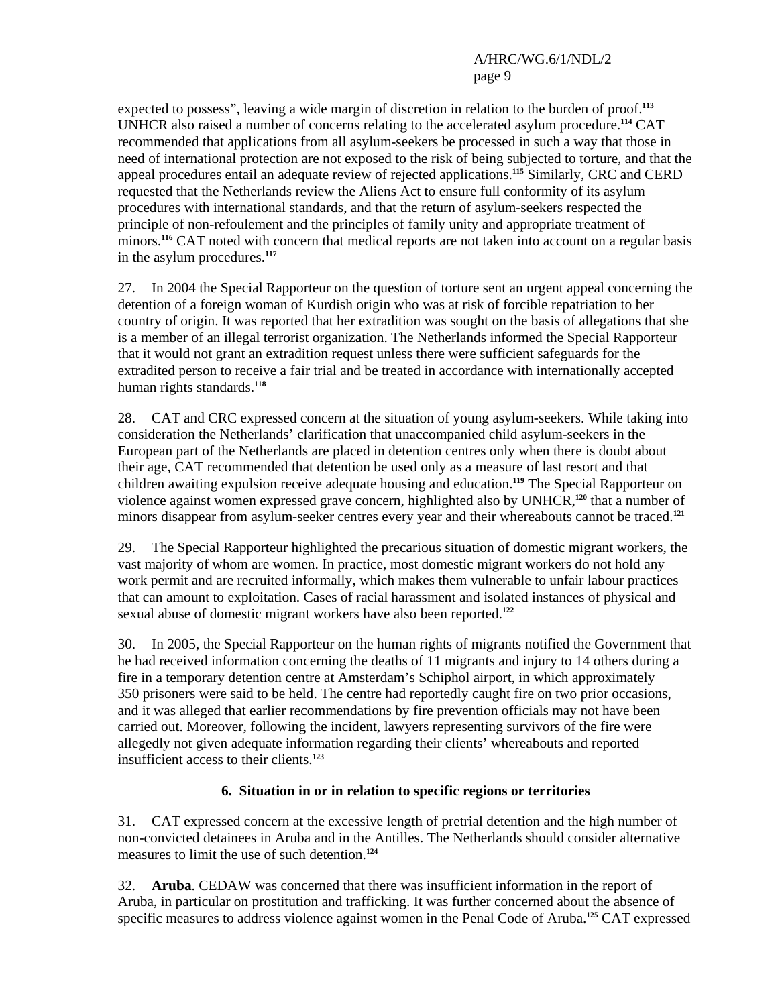expected to possess", leaving a wide margin of discretion in relation to the burden of proof.**<sup>113</sup>** UNHCR also raised a number of concerns relating to the accelerated asylum procedure.**<sup>114</sup>** CAT recommended that applications from all asylum-seekers be processed in such a way that those in need of international protection are not exposed to the risk of being subjected to torture, and that the appeal procedures entail an adequate review of rejected applications.**<sup>115</sup>** Similarly, CRC and CERD requested that the Netherlands review the Aliens Act to ensure full conformity of its asylum procedures with international standards, and that the return of asylum-seekers respected the principle of non-refoulement and the principles of family unity and appropriate treatment of minors.**<sup>116</sup>** CAT noted with concern that medical reports are not taken into account on a regular basis in the asylum procedures.**<sup>117</sup>**

27. In 2004 the Special Rapporteur on the question of torture sent an urgent appeal concerning the detention of a foreign woman of Kurdish origin who was at risk of forcible repatriation to her country of origin. It was reported that her extradition was sought on the basis of allegations that she is a member of an illegal terrorist organization. The Netherlands informed the Special Rapporteur that it would not grant an extradition request unless there were sufficient safeguards for the extradited person to receive a fair trial and be treated in accordance with internationally accepted human rights standards.**<sup>118</sup>**

28. CAT and CRC expressed concern at the situation of young asylum-seekers. While taking into consideration the Netherlands' clarification that unaccompanied child asylum-seekers in the European part of the Netherlands are placed in detention centres only when there is doubt about their age, CAT recommended that detention be used only as a measure of last resort and that children awaiting expulsion receive adequate housing and education.**<sup>119</sup>** The Special Rapporteur on violence against women expressed grave concern, highlighted also by UNHCR,**<sup>120</sup>** that a number of minors disappear from asylum-seeker centres every year and their whereabouts cannot be traced.**<sup>121</sup>**

29. The Special Rapporteur highlighted the precarious situation of domestic migrant workers, the vast majority of whom are women. In practice, most domestic migrant workers do not hold any work permit and are recruited informally, which makes them vulnerable to unfair labour practices that can amount to exploitation. Cases of racial harassment and isolated instances of physical and sexual abuse of domestic migrant workers have also been reported.**<sup>122</sup>**

30. In 2005, the Special Rapporteur on the human rights of migrants notified the Government that he had received information concerning the deaths of 11 migrants and injury to 14 others during a fire in a temporary detention centre at Amsterdam's Schiphol airport, in which approximately 350 prisoners were said to be held. The centre had reportedly caught fire on two prior occasions, and it was alleged that earlier recommendations by fire prevention officials may not have been carried out. Moreover, following the incident, lawyers representing survivors of the fire were allegedly not given adequate information regarding their clients' whereabouts and reported insufficient access to their clients.**<sup>123</sup>**

# **6. Situation in or in relation to specific regions or territories**

31. CAT expressed concern at the excessive length of pretrial detention and the high number of non-convicted detainees in Aruba and in the Antilles. The Netherlands should consider alternative measures to limit the use of such detention.**<sup>124</sup>**

32. **Aruba**. CEDAW was concerned that there was insufficient information in the report of Aruba, in particular on prostitution and trafficking. It was further concerned about the absence of specific measures to address violence against women in the Penal Code of Aruba.**125** CAT expressed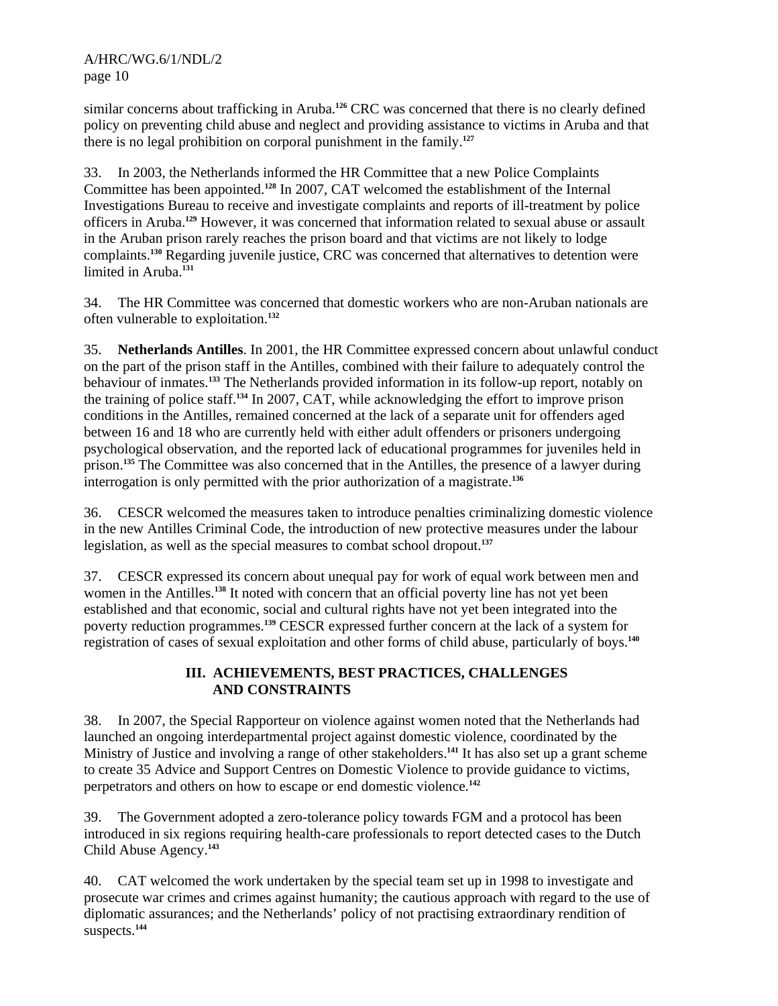similar concerns about trafficking in Aruba.**<sup>126</sup>** CRC was concerned that there is no clearly defined policy on preventing child abuse and neglect and providing assistance to victims in Aruba and that there is no legal prohibition on corporal punishment in the family.**<sup>127</sup>**

33. In 2003, the Netherlands informed the HR Committee that a new Police Complaints Committee has been appointed.**<sup>128</sup>** In 2007, CAT welcomed the establishment of the Internal Investigations Bureau to receive and investigate complaints and reports of ill-treatment by police officers in Aruba.**<sup>129</sup>** However, it was concerned that information related to sexual abuse or assault in the Aruban prison rarely reaches the prison board and that victims are not likely to lodge complaints.**<sup>130</sup>** Regarding juvenile justice, CRC was concerned that alternatives to detention were limited in Aruba.**<sup>131</sup>**

34. The HR Committee was concerned that domestic workers who are non-Aruban nationals are often vulnerable to exploitation.**<sup>132</sup>**

35. **Netherlands Antilles**. In 2001, the HR Committee expressed concern about unlawful conduct on the part of the prison staff in the Antilles, combined with their failure to adequately control the behaviour of inmates.**<sup>133</sup>** The Netherlands provided information in its follow-up report, notably on the training of police staff.**<sup>134</sup>** In 2007, CAT, while acknowledging the effort to improve prison conditions in the Antilles, remained concerned at the lack of a separate unit for offenders aged between 16 and 18 who are currently held with either adult offenders or prisoners undergoing psychological observation, and the reported lack of educational programmes for juveniles held in prison.**<sup>135</sup>** The Committee was also concerned that in the Antilles, the presence of a lawyer during interrogation is only permitted with the prior authorization of a magistrate.**<sup>136</sup>**

36. CESCR welcomed the measures taken to introduce penalties criminalizing domestic violence in the new Antilles Criminal Code, the introduction of new protective measures under the labour legislation, as well as the special measures to combat school dropout.**<sup>137</sup>**

37. CESCR expressed its concern about unequal pay for work of equal work between men and women in the Antilles.**<sup>138</sup>** It noted with concern that an official poverty line has not yet been established and that economic, social and cultural rights have not yet been integrated into the poverty reduction programmes.**<sup>139</sup>** CESCR expressed further concern at the lack of a system for registration of cases of sexual exploitation and other forms of child abuse, particularly of boys.**<sup>140</sup>**

# **III. ACHIEVEMENTS, BEST PRACTICES, CHALLENGES AND CONSTRAINTS**

38. In 2007, the Special Rapporteur on violence against women noted that the Netherlands had launched an ongoing interdepartmental project against domestic violence, coordinated by the Ministry of Justice and involving a range of other stakeholders.**<sup>141</sup>** It has also set up a grant scheme to create 35 Advice and Support Centres on Domestic Violence to provide guidance to victims, perpetrators and others on how to escape or end domestic violence.**<sup>142</sup>**

39. The Government adopted a zero-tolerance policy towards FGM and a protocol has been introduced in six regions requiring health-care professionals to report detected cases to the Dutch Child Abuse Agency.**<sup>143</sup>**

40. CAT welcomed the work undertaken by the special team set up in 1998 to investigate and prosecute war crimes and crimes against humanity; the cautious approach with regard to the use of diplomatic assurances; and the Netherlands' policy of not practising extraordinary rendition of suspects.**144**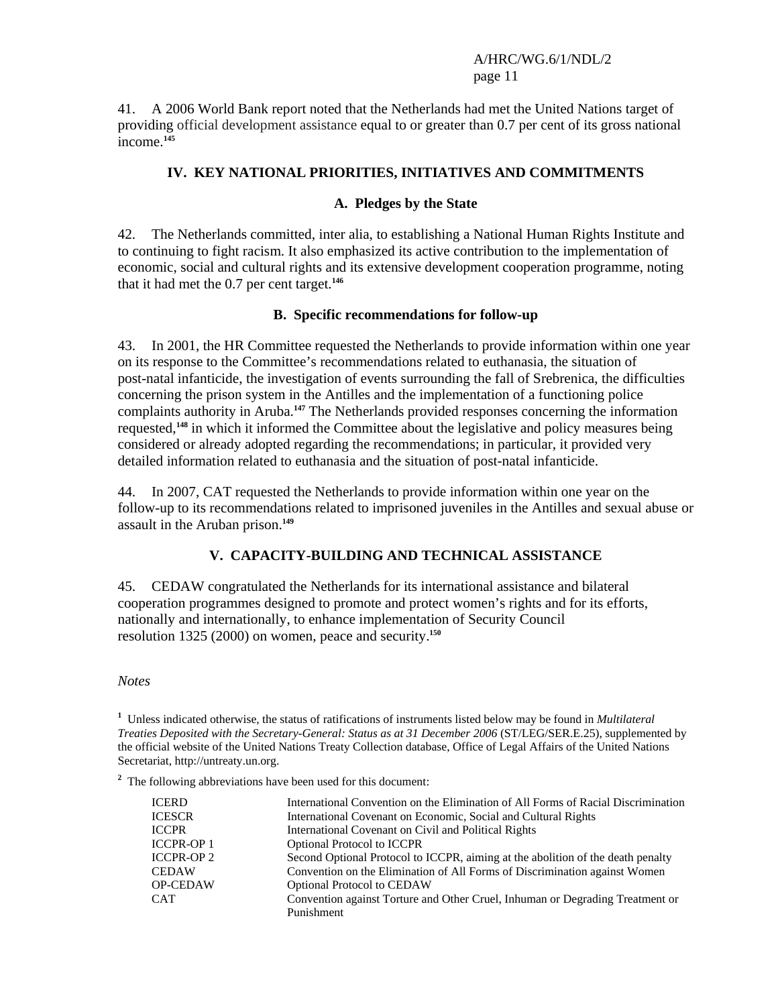41. A 2006 World Bank report noted that the Netherlands had met the United Nations target of providing official development assistance equal to or greater than 0.7 per cent of its gross national income.**<sup>145</sup>**

## **IV. KEY NATIONAL PRIORITIES, INITIATIVES AND COMMITMENTS**

#### **A. Pledges by the State**

42. The Netherlands committed, inter alia, to establishing a National Human Rights Institute and to continuing to fight racism. It also emphasized its active contribution to the implementation of economic, social and cultural rights and its extensive development cooperation programme, noting that it had met the 0.7 per cent target.**<sup>146</sup>**

#### **B. Specific recommendations for follow-up**

43. In 2001, the HR Committee requested the Netherlands to provide information within one year on its response to the Committee's recommendations related to euthanasia, the situation of post-natal infanticide, the investigation of events surrounding the fall of Srebrenica, the difficulties concerning the prison system in the Antilles and the implementation of a functioning police complaints authority in Aruba.**<sup>147</sup>** The Netherlands provided responses concerning the information requested,**<sup>148</sup>** in which it informed the Committee about the legislative and policy measures being considered or already adopted regarding the recommendations; in particular, it provided very detailed information related to euthanasia and the situation of post-natal infanticide.

44. In 2007, CAT requested the Netherlands to provide information within one year on the follow-up to its recommendations related to imprisoned juveniles in the Antilles and sexual abuse or assault in the Aruban prison.**<sup>149</sup>**

# **V. CAPACITY-BUILDING AND TECHNICAL ASSISTANCE**

45. CEDAW congratulated the Netherlands for its international assistance and bilateral cooperation programmes designed to promote and protect women's rights and for its efforts, nationally and internationally, to enhance implementation of Security Council resolution 1325 (2000) on women, peace and security.**<sup>150</sup>**

#### *Notes*

**1** Unless indicated otherwise, the status of ratifications of instruments listed below may be found in *Multilateral Treaties Deposited with the Secretary-General: Status as at 31 December 2006* (ST/LEG/SER.E.25), supplemented by the official website of the United Nations Treaty Collection database, Office of Legal Affairs of the United Nations Secretariat, http://untreaty.un.org.

<sup>2</sup> The following abbreviations have been used for this document:

| <b>ICERD</b>      | International Convention on the Elimination of All Forms of Racial Discrimination |
|-------------------|-----------------------------------------------------------------------------------|
| <b>ICESCR</b>     | International Covenant on Economic, Social and Cultural Rights                    |
| <b>ICCPR</b>      | International Covenant on Civil and Political Rights                              |
| <b>ICCPR-OP 1</b> | <b>Optional Protocol to ICCPR</b>                                                 |
| <b>ICCPR-OP 2</b> | Second Optional Protocol to ICCPR, aiming at the abolition of the death penalty   |
| <b>CEDAW</b>      | Convention on the Elimination of All Forms of Discrimination against Women        |
| <b>OP-CEDAW</b>   | <b>Optional Protocol to CEDAW</b>                                                 |
| <b>CAT</b>        | Convention against Torture and Other Cruel, Inhuman or Degrading Treatment or     |
|                   | Punishment                                                                        |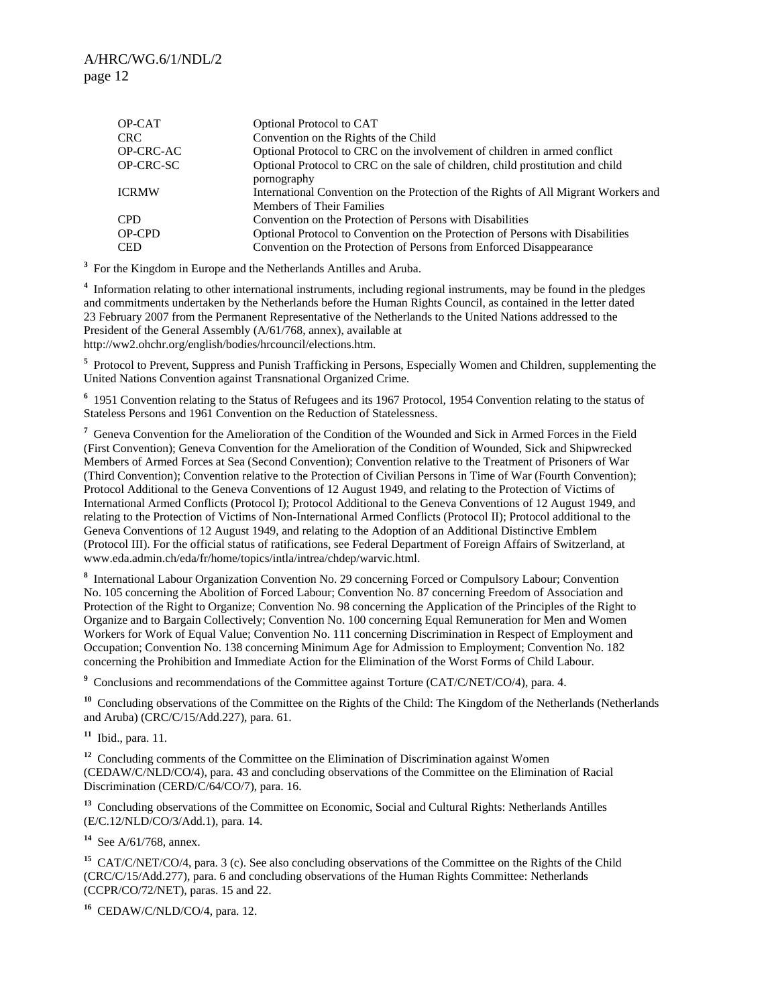| OP-CAT           | Optional Protocol to CAT                                                            |
|------------------|-------------------------------------------------------------------------------------|
| <b>CRC</b>       | Convention on the Rights of the Child                                               |
| <b>OP-CRC-AC</b> | Optional Protocol to CRC on the involvement of children in armed conflict           |
| OP-CRC-SC        | Optional Protocol to CRC on the sale of children, child prostitution and child      |
|                  | pornography                                                                         |
| <b>ICRMW</b>     | International Convention on the Protection of the Rights of All Migrant Workers and |
|                  | <b>Members of Their Families</b>                                                    |
| <b>CPD</b>       | Convention on the Protection of Persons with Disabilities                           |
| OP-CPD           | Optional Protocol to Convention on the Protection of Persons with Disabilities      |
| <b>CED</b>       | Convention on the Protection of Persons from Enforced Disappearance                 |

<sup>3</sup> For the Kingdom in Europe and the Netherlands Antilles and Aruba.

<sup>4</sup> Information relating to other international instruments, including regional instruments, may be found in the pledges and commitments undertaken by the Netherlands before the Human Rights Council, as contained in the letter dated 23 February 2007 from the Permanent Representative of the Netherlands to the United Nations addressed to the President of the General Assembly (A/61/768, annex), available at http://ww2.ohchr.org/english/bodies/hrcouncil/elections.htm.

<sup>5</sup> Protocol to Prevent, Suppress and Punish Trafficking in Persons, Especially Women and Children, supplementing the United Nations Convention against Transnational Organized Crime.

<sup>6</sup> 1951 Convention relating to the Status of Refugees and its 1967 Protocol, 1954 Convention relating to the status of Stateless Persons and 1961 Convention on the Reduction of Statelessness.

<sup>7</sup> Geneva Convention for the Amelioration of the Condition of the Wounded and Sick in Armed Forces in the Field (First Convention); Geneva Convention for the Amelioration of the Condition of Wounded, Sick and Shipwrecked Members of Armed Forces at Sea (Second Convention); Convention relative to the Treatment of Prisoners of War (Third Convention); Convention relative to the Protection of Civilian Persons in Time of War (Fourth Convention); Protocol Additional to the Geneva Conventions of 12 August 1949, and relating to the Protection of Victims of International Armed Conflicts (Protocol I); Protocol Additional to the Geneva Conventions of 12 August 1949, and relating to the Protection of Victims of Non-International Armed Conflicts (Protocol II); Protocol additional to the Geneva Conventions of 12 August 1949, and relating to the Adoption of an Additional Distinctive Emblem (Protocol III). For the official status of ratifications, see Federal Department of Foreign Affairs of Switzerland, at www.eda.admin.ch/eda/fr/home/topics/intla/intrea/chdep/warvic.html.

**8** International Labour Organization Convention No. 29 concerning Forced or Compulsory Labour; Convention No. 105 concerning the Abolition of Forced Labour; Convention No. 87 concerning Freedom of Association and Protection of the Right to Organize; Convention No. 98 concerning the Application of the Principles of the Right to Organize and to Bargain Collectively; Convention No. 100 concerning Equal Remuneration for Men and Women Workers for Work of Equal Value; Convention No. 111 concerning Discrimination in Respect of Employment and Occupation; Convention No. 138 concerning Minimum Age for Admission to Employment; Convention No. 182 concerning the Prohibition and Immediate Action for the Elimination of the Worst Forms of Child Labour.

<sup>9</sup> Conclusions and recommendations of the Committee against Torture (CAT/C/NET/CO/4), para. 4.

<sup>10</sup> Concluding observations of the Committee on the Rights of the Child: The Kingdom of the Netherlands (Netherlands and Aruba) (CRC/C/15/Add.227), para. 61.

**<sup>11</sup>** Ibid., para. 11.

<sup>12</sup> Concluding comments of the Committee on the Elimination of Discrimination against Women (CEDAW/C/NLD/CO/4), para. 43 and concluding observations of the Committee on the Elimination of Racial Discrimination (CERD/C/64/CO/7), para. 16.

**<sup>13</sup>** Concluding observations of the Committee on Economic, Social and Cultural Rights: Netherlands Antilles (E/C.12/NLD/CO/3/Add.1), para. 14.

**<sup>14</sup>** See A/61/768, annex.

**<sup>15</sup>** CAT/C/NET/CO/4, para. 3 (c). See also concluding observations of the Committee on the Rights of the Child (CRC/C/15/Add.277), para. 6 and concluding observations of the Human Rights Committee: Netherlands (CCPR/CO/72/NET), paras. 15 and 22.

**<sup>16</sup>** CEDAW/C/NLD/CO/4, para. 12.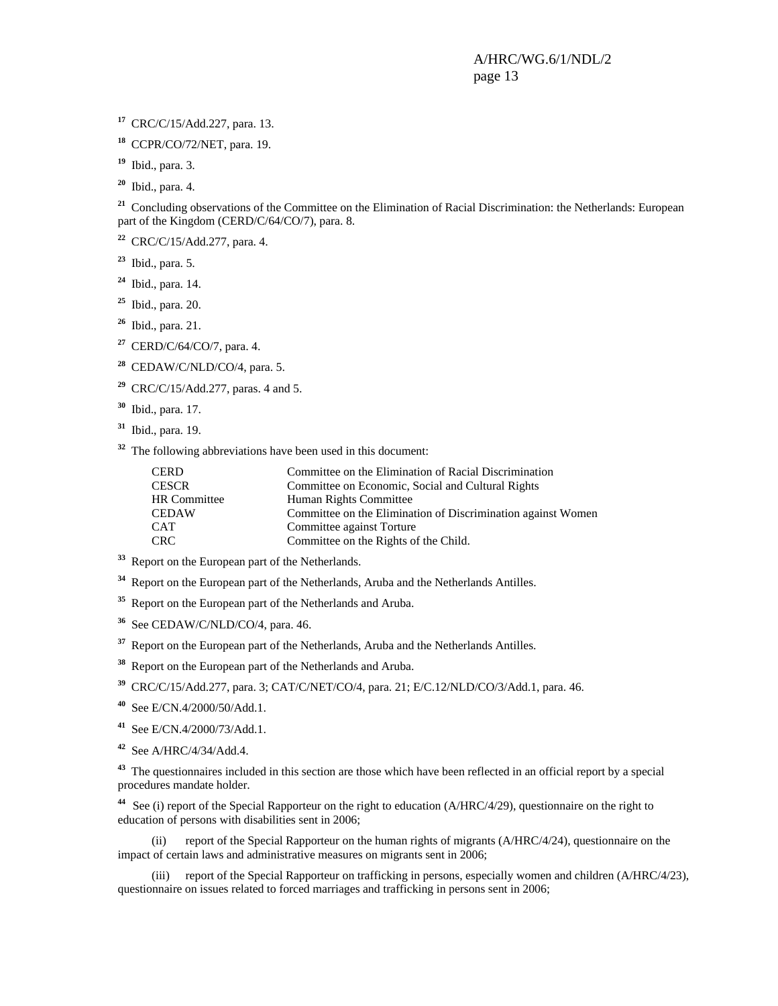**<sup>17</sup>** CRC/C/15/Add.227, para. 13.

**<sup>18</sup>** CCPR/CO/72/NET, para. 19.

**<sup>19</sup>** Ibid., para. 3.

**<sup>20</sup>** Ibid., para. 4.

<sup>21</sup> Concluding observations of the Committee on the Elimination of Racial Discrimination: the Netherlands: European part of the Kingdom (CERD/C/64/CO/7), para. 8.

**<sup>22</sup>** CRC/C/15/Add.277, para. 4.

**<sup>23</sup>** Ibid., para. 5.

**<sup>24</sup>** Ibid., para. 14.

**<sup>25</sup>** Ibid., para. 20.

**<sup>26</sup>** Ibid., para. 21.

**<sup>27</sup>** CERD/C/64/CO/7, para. 4.

**<sup>28</sup>** CEDAW/C/NLD/CO/4, para. 5.

**<sup>29</sup>** CRC/C/15/Add.277, paras. 4 and 5.

**<sup>30</sup>** Ibid., para. 17.

**<sup>31</sup>** Ibid., para. 19.

**<sup>32</sup>** The following abbreviations have been used in this document:

| <b>CERD</b>         | Committee on the Elimination of Racial Discrimination        |
|---------------------|--------------------------------------------------------------|
| <b>CESCR</b>        | Committee on Economic, Social and Cultural Rights            |
| <b>HR</b> Committee | Human Rights Committee                                       |
| <b>CEDAW</b>        | Committee on the Elimination of Discrimination against Women |
| <b>CAT</b>          | Committee against Torture                                    |
| <b>CRC</b>          | Committee on the Rights of the Child.                        |

**<sup>33</sup>** Report on the European part of the Netherlands.

**<sup>34</sup>** Report on the European part of the Netherlands, Aruba and the Netherlands Antilles.

**<sup>35</sup>** Report on the European part of the Netherlands and Aruba.

**<sup>36</sup>** See CEDAW/C/NLD/CO/4, para. 46.

<sup>37</sup> Report on the European part of the Netherlands, Aruba and the Netherlands Antilles.

**<sup>38</sup>** Report on the European part of the Netherlands and Aruba.

**<sup>39</sup>** CRC/C/15/Add.277, para. 3; CAT/C/NET/CO/4, para. 21; E/C.12/NLD/CO/3/Add.1, para. 46.

**<sup>40</sup>** See E/CN.4/2000/50/Add.1.

**<sup>41</sup>** See E/CN.4/2000/73/Add.1.

**<sup>42</sup>** See A/HRC/4/34/Add.4.

<sup>43</sup> The questionnaires included in this section are those which have been reflected in an official report by a special procedures mandate holder.

**<sup>44</sup>** See (i) report of the Special Rapporteur on the right to education (A/HRC/4/29), questionnaire on the right to education of persons with disabilities sent in 2006;

 (ii) report of the Special Rapporteur on the human rights of migrants (A/HRC/4/24), questionnaire on the impact of certain laws and administrative measures on migrants sent in 2006;

 (iii) report of the Special Rapporteur on trafficking in persons, especially women and children (A/HRC/4/23), questionnaire on issues related to forced marriages and trafficking in persons sent in 2006;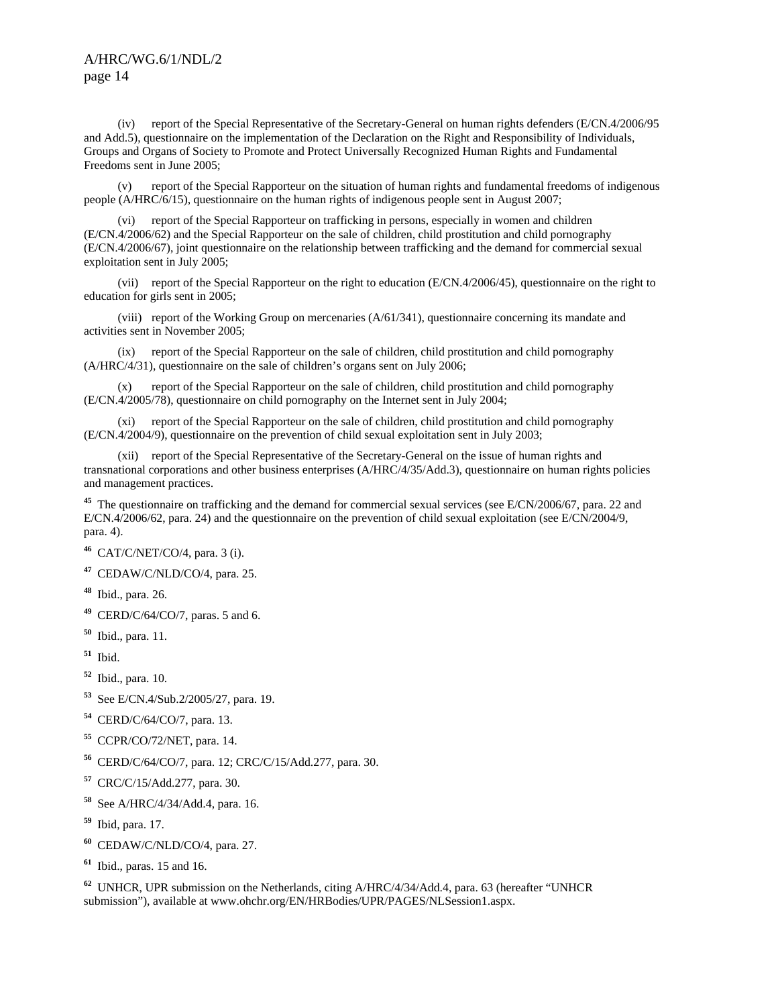(iv) report of the Special Representative of the Secretary-General on human rights defenders (E/CN.4/2006/95 and Add.5), questionnaire on the implementation of the Declaration on the Right and Responsibility of Individuals, Groups and Organs of Society to Promote and Protect Universally Recognized Human Rights and Fundamental Freedoms sent in June 2005;

report of the Special Rapporteur on the situation of human rights and fundamental freedoms of indigenous people (A/HRC/6/15), questionnaire on the human rights of indigenous people sent in August 2007;

 (vi) report of the Special Rapporteur on trafficking in persons, especially in women and children (E/CN.4/2006/62) and the Special Rapporteur on the sale of children, child prostitution and child pornography (E/CN.4/2006/67), joint questionnaire on the relationship between trafficking and the demand for commercial sexual exploitation sent in July 2005;

 (vii) report of the Special Rapporteur on the right to education (E/CN.4/2006/45), questionnaire on the right to education for girls sent in 2005;

 (viii) report of the Working Group on mercenaries (A/61/341), questionnaire concerning its mandate and activities sent in November 2005;

 (ix) report of the Special Rapporteur on the sale of children, child prostitution and child pornography (A/HRC/4/31), questionnaire on the sale of children's organs sent on July 2006;

 (x) report of the Special Rapporteur on the sale of children, child prostitution and child pornography (E/CN.4/2005/78), questionnaire on child pornography on the Internet sent in July 2004;

 (xi) report of the Special Rapporteur on the sale of children, child prostitution and child pornography (E/CN.4/2004/9), questionnaire on the prevention of child sexual exploitation sent in July 2003;

 (xii) report of the Special Representative of the Secretary-General on the issue of human rights and transnational corporations and other business enterprises (A/HRC/4/35/Add.3), questionnaire on human rights policies and management practices.

**<sup>45</sup>** The questionnaire on trafficking and the demand for commercial sexual services (see E/CN/2006/67, para. 22 and E/CN.4/2006/62, para. 24) and the questionnaire on the prevention of child sexual exploitation (see E/CN/2004/9, para. 4).

**<sup>46</sup>** CAT/C/NET/CO/4, para. 3 (i).

**<sup>47</sup>** CEDAW/C/NLD/CO/4, para. 25.

- **<sup>48</sup>** Ibid., para. 26.
- **<sup>49</sup>** CERD/C/64/CO/7, paras. 5 and 6.
- **<sup>50</sup>** Ibid., para. 11.
- **<sup>51</sup>** Ibid.
- **<sup>52</sup>** Ibid., para. 10.
- **<sup>53</sup>** See E/CN.4/Sub.2/2005/27, para. 19.
- **<sup>54</sup>** CERD/C/64/CO/7, para. 13.
- **<sup>55</sup>** CCPR/CO/72/NET, para. 14.
- **<sup>56</sup>** CERD/C/64/CO/7, para. 12; CRC/C/15/Add.277, para. 30.
- **<sup>57</sup>** CRC/C/15/Add.277, para. 30.
- **<sup>58</sup>** See A/HRC/4/34/Add.4, para. 16.
- **<sup>59</sup>** Ibid, para. 17.
- **<sup>60</sup>** CEDAW/C/NLD/CO/4, para. 27.
- **<sup>61</sup>** Ibid., paras. 15 and 16.

**<sup>62</sup>** UNHCR, UPR submission on the Netherlands, citing A/HRC/4/34/Add.4, para. 63 (hereafter "UNHCR submission"), available at www.ohchr.org/EN/HRBodies/UPR/PAGES/NLSession1.aspx.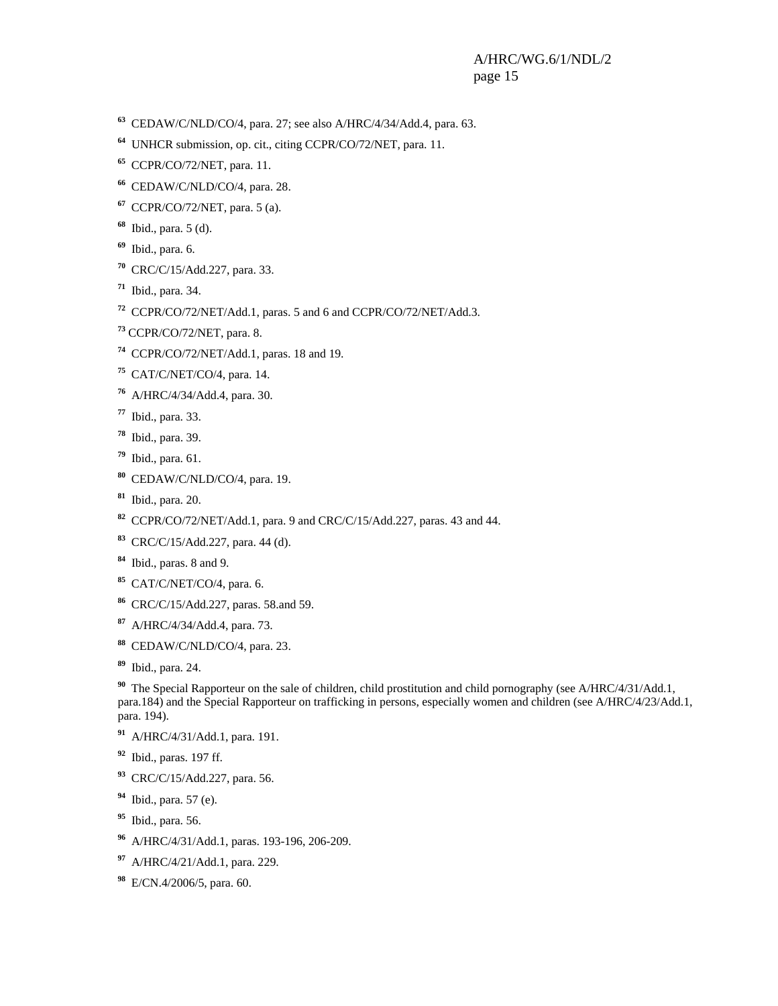- CEDAW/C/NLD/CO/4, para. 27; see also A/HRC/4/34/Add.4, para. 63.
- UNHCR submission, op. cit., citing CCPR/CO/72/NET, para. 11.
- CCPR/CO/72/NET, para. 11.
- CEDAW/C/NLD/CO/4, para. 28.
- CCPR/CO/72/NET, para. 5 (a).
- Ibid., para. 5 (d).
- Ibid., para. 6.
- CRC/C/15/Add.227, para. 33.
- Ibid., para. 34.
- CCPR/CO/72/NET/Add.1, paras. 5 and 6 and CCPR/CO/72/NET/Add.3.
- CCPR/CO/72/NET, para. 8.
- CCPR/CO/72/NET/Add.1, paras. 18 and 19.
- CAT/C/NET/CO/4, para. 14.
- A/HRC/4/34/Add.4, para. 30.
- Ibid., para. 33.
- Ibid., para. 39.
- Ibid., para. 61.
- CEDAW/C/NLD/CO/4, para. 19.
- Ibid., para. 20.
- CCPR/CO/72/NET/Add.1, para. 9 and CRC/C/15/Add.227, paras. 43 and 44.
- CRC/C/15/Add.227, para. 44 (d).
- Ibid., paras. 8 and 9.
- CAT/C/NET/CO/4, para. 6.
- CRC/C/15/Add.227, paras. 58.and 59.
- A/HRC/4/34/Add.4, para. 73.
- CEDAW/C/NLD/CO/4, para. 23.
- Ibid., para. 24.

<sup>90</sup> The Special Rapporteur on the sale of children, child prostitution and child pornography (see A/HRC/4/31/Add.1, para.184) and the Special Rapporteur on trafficking in persons, especially women and children (see A/HRC/4/23/Add.1, para. 194).

- A/HRC/4/31/Add.1, para. 191.
- Ibid., paras. 197 ff.
- CRC/C/15/Add.227, para. 56.
- Ibid., para. 57 (e).
- Ibid., para. 56.
- A/HRC/4/31/Add.1, paras. 193-196, 206-209.
- A/HRC/4/21/Add.1, para. 229.
- E/CN.4/2006/5, para. 60.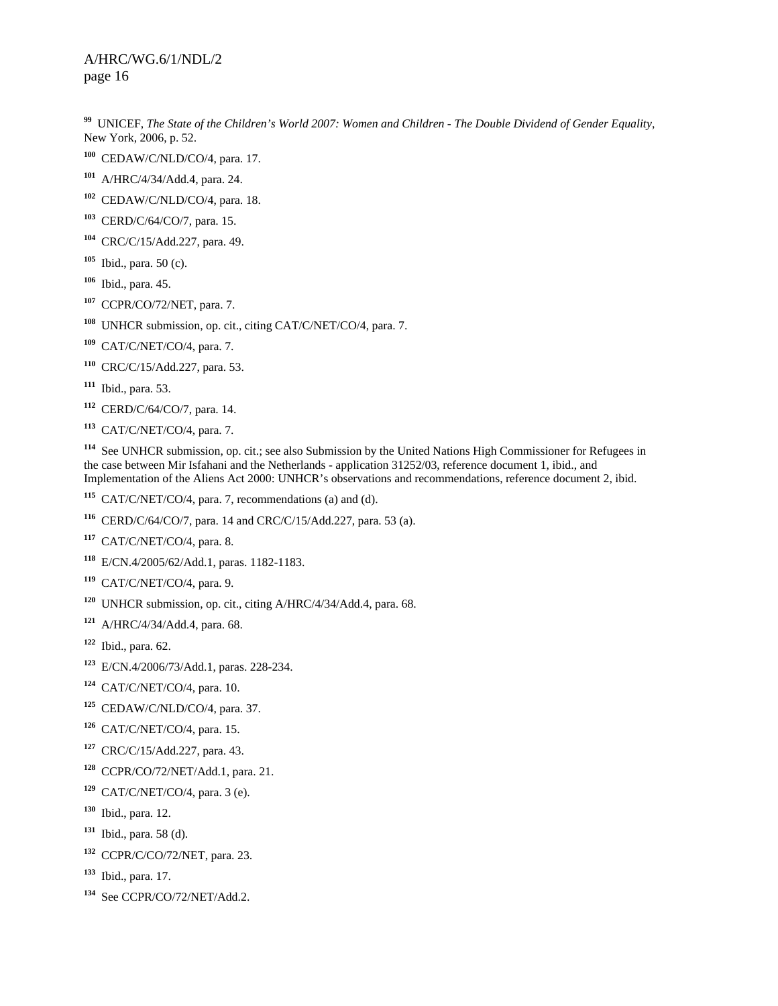UNICEF, *The State of the Children's World 2007: Women and Children - The Double Dividend of Gender Equality*, New York, 2006, p. 52.

- CEDAW/C/NLD/CO/4, para. 17.
- A/HRC/4/34/Add.4, para. 24.
- CEDAW/C/NLD/CO/4, para. 18.
- CERD/C/64/CO/7, para. 15.
- CRC/C/15/Add.227, para. 49.
- Ibid., para. 50 (c).
- Ibid., para. 45.
- CCPR/CO/72/NET, para. 7.
- UNHCR submission, op. cit., citing CAT/C/NET/CO/4, para. 7.
- CAT/C/NET/CO/4, para. 7.
- CRC/C/15/Add.227, para. 53.
- Ibid., para. 53.
- CERD/C/64/CO/7, para. 14.
- CAT/C/NET/CO/4, para. 7.

 See UNHCR submission, op. cit.; see also Submission by the United Nations High Commissioner for Refugees in the case between Mir Isfahani and the Netherlands - application 31252/03, reference document 1, ibid., and Implementation of the Aliens Act 2000: UNHCR's observations and recommendations, reference document 2, ibid.

- CAT/C/NET/CO/4, para. 7, recommendations (a) and (d).
- CERD/C/64/CO/7, para. 14 and CRC/C/15/Add.227, para. 53 (a).
- CAT/C/NET/CO/4, para. 8.
- E/CN.4/2005/62/Add.1, paras. 1182-1183.
- CAT/C/NET/CO/4, para. 9.
- UNHCR submission, op. cit., citing A/HRC/4/34/Add.4, para. 68.
- A/HRC/4/34/Add.4, para. 68.
- Ibid., para. 62.
- E/CN.4/2006/73/Add.1, paras. 228-234.
- CAT/C/NET/CO/4, para. 10.
- CEDAW/C/NLD/CO/4, para. 37.
- CAT/C/NET/CO/4, para. 15.
- CRC/C/15/Add.227, para. 43.
- CCPR/CO/72/NET/Add.1, para. 21.
- CAT/C/NET/CO/4, para. 3 (e).
- Ibid., para. 12.
- Ibid., para. 58 (d).
- CCPR/C/CO/72/NET, para. 23.
- Ibid., para. 17.
- See CCPR/CO/72/NET/Add.2.